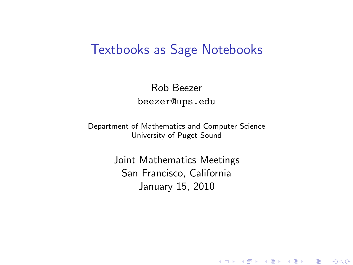#### Textbooks as Sage Notebooks

Rob Beezer beezer@ups.edu

Department of Mathematics and Computer Science University of Puget Sound

> <span id="page-0-0"></span>Joint Mathematics Meetings San Francisco, California January 15, 2010

> > (ロ) (御) (君) (君) (君) 君 のぬの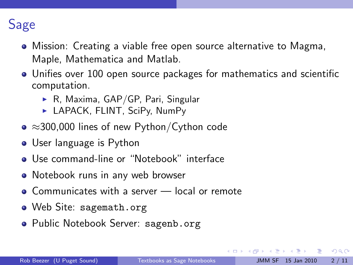## Sage

- Mission: Creating a viable free open source alternative to Magma, Maple, Mathematica and Matlab.
- Unifies over 100 open source packages for mathematics and scientific computation.
	- $\triangleright$  R, Maxima, GAP/GP, Pari, Singular
	- ▶ LAPACK, FLINT, SciPy, NumPy
- ≈300,000 lines of new Python/Cython code
- User language is Python
- Use command-line or "Notebook" interface
- Notebook runs in any web browser
- Communicates with a server local or remote
- Web Site: <sagemath.org>
- Public Notebook Server: <sagenb.org>

ラメ メラメ

<span id="page-1-0"></span>- 로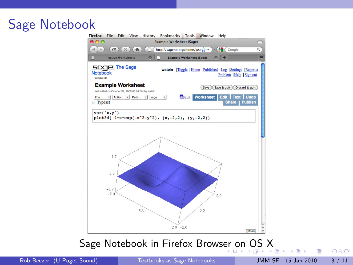# Sage Notebook<br>Firefox File Edit View History Bookmarks Tools Window Help



Sage Notebook in Firefox Brows[er](#page-1-0) [on](#page-3-0)[OS](#page-2-0) [X](#page-0-0)

<span id="page-2-0"></span> $QQ$ 

G.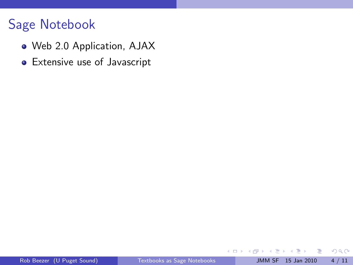- Web 2.0 Application, AJAX
- Extensive use of Javascript

<span id="page-3-0"></span> $299$ 

造

K 등 > K 등 >

**← ロ → → ← 何 →**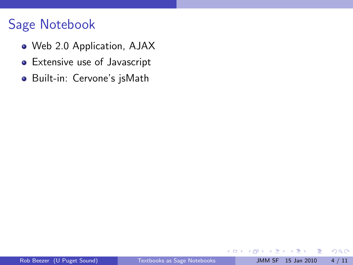- Web 2.0 Application, AJAX
- Extensive use of Javascript
- o Built-in: Cervone's jsMath

4 0 8 ∢母 × э  $299$ 

画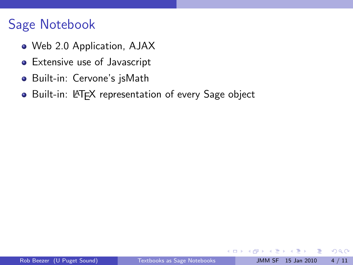- Web 2.0 Application, AJAX
- **•** Extensive use of Javascript
- Built-in: Cervone's jsMath
- Built-in: LATEX representation of every Sage object

4 D F

 $\sim$ 

画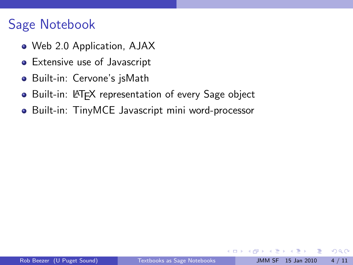- Web 2.0 Application, AJAX
- **•** Extensive use of Javascript
- Built-in: Cervone's jsMath
- Built-in: LAT<sub>E</sub>X representation of every Sage object
- Built-in: TinyMCE Javascript mini word-processor

 $\leftarrow$ 

÷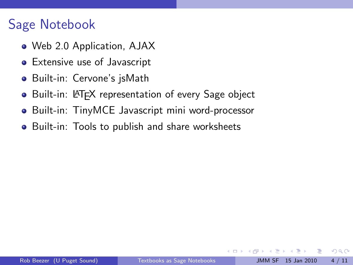- Web 2.0 Application, AJAX
- **•** Extensive use of Javascript
- Built-in: Cervone's jsMath
- Built-in: LAT<sub>E</sub>X representation of every Sage object
- Built-in: TinyMCE Javascript mini word-processor
- Built-in: Tools to publish and share worksheets

÷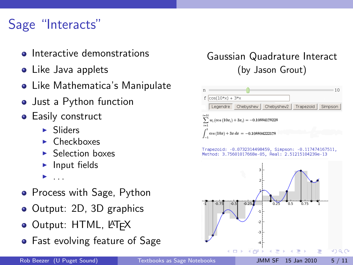# Sage "Interacts"

- Interactive demonstrations
- Like Java applets
- Like Mathematica's Manipulate
- Just a Python function
- **•** Easily construct
	- $\blacktriangleright$  Sliders
	- $\blacktriangleright$  Checkboxes
	- $\blacktriangleright$  Selection boxes
	- $\blacktriangleright$  Input fields
	- <sup>I</sup> . . .
- Process with Sage, Python
- Output: 2D, 3D graphics
- **Output: HTML, LATEX**
- Fast evolving feature of Sage

#### Gaussian Quadrature Interact (by Jason Grout)



Trapezoid: -0.0732314498459, Simpson: -0.117474167511, Method: 3.75601017668e-05. Real: 2.51215104239e-13

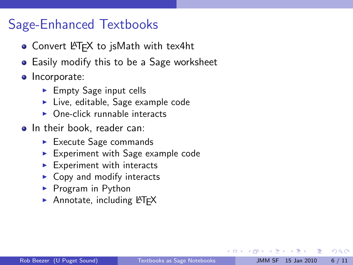#### Sage-Enhanced Textbooks

- Convert LAT<sub>F</sub>X to jsMath with tex4ht
- Easily modify this to be a Sage worksheet
- Incorporate:
	- $\blacktriangleright$  Empty Sage input cells
	- $\blacktriangleright$  Live, editable, Sage example code
	- $\triangleright$  One-click runnable interacts
- In their book, reader can:
	- $\blacktriangleright$  Execute Sage commands
	- $\blacktriangleright$  Experiment with Sage example code
	- $\blacktriangleright$  Experiment with interacts
	- $\triangleright$  Copy and modify interacts
	- $\blacktriangleright$  Program in Python
	- $\blacktriangleright$  Annotate, including LAT<sub>E</sub>X

 $QQQ$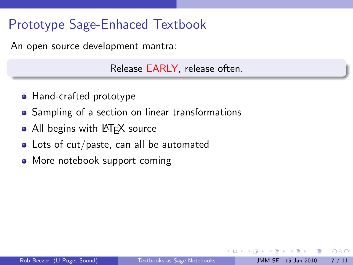## Prototype Sage-Enhaced Textbook

An open source development mantra:

Release EARLY, release often.

- Hand-crafted prototype
- Sampling of a section on linear transformations
- All begins with LATEX source
- Lots of cut/paste, can all be automated
- More notebook support coming

<span id="page-10-0"></span> $\Omega$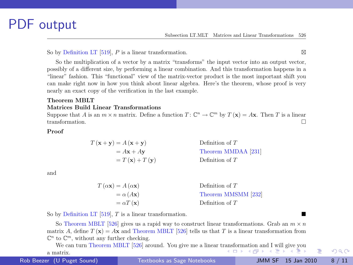#### PDF output

So by Definition LT [519], P is a linear transformation.  $\boxtimes$ 

So the multiplication of a vector by a matrix "transforms" the input vector into an output vector, possibly of a different size, by performing a linear combination. And this transformation happens in a "linear" fashion. This "functional" view of the matrix-vector product is the most important shift you can make right now in how you think about linear algebra. Here's the theorem, whose proof is very nearly an exact copy of the verification in the last example.

#### Theorem MBLT Matrices Build Linear Transformations

Suppose that A is an  $m \times n$  matrix. Define a function  $T: \mathbb{C}^n \to \mathbb{C}^m$  by  $T(\mathbf{x}) = A\mathbf{x}$ . Then T is a linear transformation.

#### Proof

$$
T(\mathbf{x} + \mathbf{y}) = A(\mathbf{x} + \mathbf{y})
$$
Definition of  $T$   
=  $A\mathbf{x} + A\mathbf{y}$  Theorem MMDAA [231]  
=  $T(\mathbf{x}) + T(\mathbf{y})$  Definition of  $T$ 

and

| $T(\alpha \mathbf{x}) = A(\alpha \mathbf{x})$ | Definition of $T$   |
|-----------------------------------------------|---------------------|
| $= \alpha (A\mathbf{x})$                      | Theorem MMSMM [232] |
| $= \alpha T(\mathbf{x})$                      | Definition of $T$   |

So by Definition LT  $[519]$ , T is a linear transformation.

So Theorem MBLT [526] gives us a rapid way to construct linear transformations. Grab an  $m \times n$ matrix A, define  $T(\mathbf{x}) = A\mathbf{x}$  and Theorem MBLT [526] tells us that T is a linear transformation from  $\mathbb{C}^n$  to  $\mathbb{C}^m,$  without any further checking.

We can turn Theorem MBLT [526] around. You give me a linear tr[ans](#page-10-0)fo[rm](#page-12-0)[ati](#page-10-0)[on](#page-11-0) [an](#page-12-0)[d I w](#page-0-0)[ill g](#page-14-0)[ive y](#page-0-0)[ou](#page-14-0) 4 D F a matrix.

Rob Beezer (U Puget Sound)

Rob Beezer (U Puget Sound) [Textbooks as Sage Notebooks](#page-0-0) JMM SF 15 Jan 2010 8 / 11

<span id="page-11-0"></span> $200$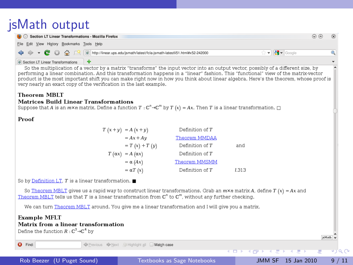### jsMath output

| Section LT Linear Transformations - Mozilla Firefox                                                                                                 |  |  |
|-----------------------------------------------------------------------------------------------------------------------------------------------------|--|--|
| File Edit View History Bookmarks Tools Help                                                                                                         |  |  |
| ← → ← ● → ● ● ● ● F   ■ http://linear.ups.edu/jsmath/latest/fcla-jsmath-latestli51.html#x52-242000<br>$\mathbf{v}$ $\mathbf{R}$ $\mathbf{v}$ Google |  |  |
| $\Box$                                                                                                                                              |  |  |

#### Section LT Linear Transformations

So the multiplication of a vector by a matrix "transforms" the input vector into an output vector, possibly of a different size, by performing a linear combination. And this transformation happens in a "linear" fashion. This "functional" view of the matrix-vector product is the most important shift you can make right now in how you think about linear algebra. Here's the theorem, whose proof is very nearly an exact copy of the verification in the last example.

#### **Theorem MBLT** Matrices Build Linear Transformations

 $\overline{T}$ 

Suppose that A is an  $m \times n$  matrix. Define a function  $T : \mathbb{C}^n \to \mathbb{C}^m$  by  $T(x) = Ax$ . Then T is a linear transformation.  $\Box$ 

Proof

| $(x + y) = A(x + y)$        | Definition of T |       |
|-----------------------------|-----------------|-------|
| $= Ax + Ay$                 | Theorem MMDAA   |       |
| $= T(x) + T(y)$             | Definition of T | and   |
| $T(\alpha x) = A(\alpha x)$ | Definition of T |       |
| $= \alpha (Ax)$             | Theorem MMSMM   |       |
| $= \alpha T(x)$             | Definition of T | 1.313 |

So by Definition LT,  $T$  is a linear transformation.  $\blacksquare$ 

So Theorem MBLT gives us a rapid way to construct linear transformations. Grab an  $m \times n$  matrix A, define T (x) = Ax and Theorem MBLT tells us that T is a linear transformation from  $\mathbb{C}^n$  to  $\mathbb{C}^m$ , without any further checking.

We can turn Theorem MBI T around. You give me a linear transformation and Luill give you a matrix

| <b>Example MFLT</b><br>Matrix from a linear transformation<br>Define the function $R:\mathbb{C}^3{\rightarrow}\mathbb{C}^4$ by<br>jsMath v |                                                       |                           |     |  |  |
|--------------------------------------------------------------------------------------------------------------------------------------------|-------------------------------------------------------|---------------------------|-----|--|--|
| <b>O</b> Find:                                                                                                                             | . Previous $\bigcirc$ Next / Highlight all Match case |                           |     |  |  |
|                                                                                                                                            |                                                       | イロンス 伊 ンス ミンス ミンシーミー やりなぐ |     |  |  |
| Rob Beezer (U Puget Sound)                                                                                                                 | Textbooks as Sage Notebooks                           | JMM SF 15 Jan 2010        | /11 |  |  |

<span id="page-12-0"></span> $\curvearrowright$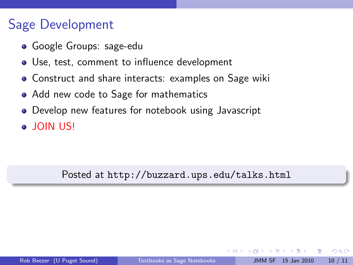### Sage Development

- **•** Google Groups: sage-edu
- Use, test, comment to influence development
- **Construct and share interacts: examples on Sage wiki**
- Add new code to Sage for mathematics
- Develop new features for notebook using Javascript
- JOIN US!

#### Posted at http://buzzard.ups.edu/talks.html

 $200$